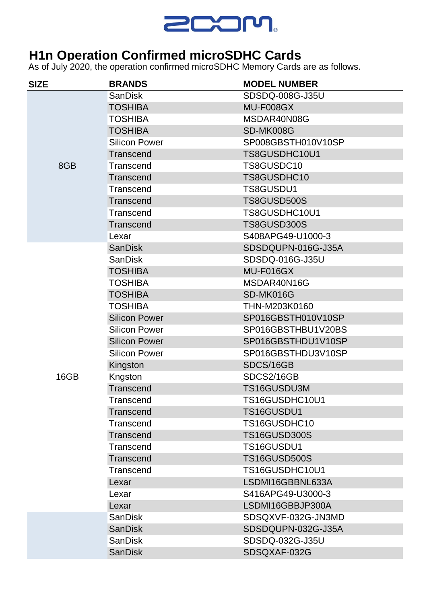

## **H1n Operation Confirmed microSDHC Cards**

As of July 2020, the operation confirmed microSDHC Memory Cards are as follows.

| <b>SIZE</b> | <b>BRANDS</b>        | <b>MODEL NUMBER</b> |
|-------------|----------------------|---------------------|
| 8GB         | <b>SanDisk</b>       | SDSDQ-008G-J35U     |
|             | <b>TOSHIBA</b>       | MU-F008GX           |
|             | <b>TOSHIBA</b>       | MSDAR40N08G         |
|             | <b>TOSHIBA</b>       | SD-MK008G           |
|             | <b>Silicon Power</b> | SP008GBSTH010V10SP  |
|             | Transcend            | TS8GUSDHC10U1       |
|             | Transcend            | TS8GUSDC10          |
|             | Transcend            | TS8GUSDHC10         |
|             | Transcend            | TS8GUSDU1           |
|             | Transcend            | TS8GUSD500S         |
|             | Transcend            | TS8GUSDHC10U1       |
|             | <b>Transcend</b>     | TS8GUSD300S         |
|             | Lexar                | S408APG49-U1000-3   |
|             | <b>SanDisk</b>       | SDSDQUPN-016G-J35A  |
|             | <b>SanDisk</b>       | SDSDQ-016G-J35U     |
|             | <b>TOSHIBA</b>       | MU-F016GX           |
|             | <b>TOSHIBA</b>       | MSDAR40N16G         |
|             | <b>TOSHIBA</b>       | SD-MK016G           |
|             | <b>TOSHIBA</b>       | THN-M203K0160       |
|             | <b>Silicon Power</b> | SP016GBSTH010V10SP  |
|             | <b>Silicon Power</b> | SP016GBSTHBU1V20BS  |
|             | <b>Silicon Power</b> | SP016GBSTHDU1V10SP  |
|             | <b>Silicon Power</b> | SP016GBSTHDU3V10SP  |
|             | Kingston             | SDCS/16GB           |
| 16GB        | Kngston              | SDCS2/16GB          |
|             | <b>Transcend</b>     | TS16GUSDU3M         |
|             | Transcend            | TS16GUSDHC10U1      |
|             | Transcend            | TS16GUSDU1          |
|             | Transcend            | TS16GUSDHC10        |
|             | Transcend            | <b>TS16GUSD300S</b> |
|             | Transcend            | TS16GUSDU1          |
|             | Transcend            | <b>TS16GUSD500S</b> |
|             | Transcend            | TS16GUSDHC10U1      |
|             | Lexar                | LSDMI16GBBNL633A    |
|             | Lexar                | S416APG49-U3000-3   |
|             | Lexar                | LSDMI16GBBJP300A    |
|             | <b>SanDisk</b>       | SDSQXVF-032G-JN3MD  |
|             | <b>SanDisk</b>       | SDSDQUPN-032G-J35A  |
|             | <b>SanDisk</b>       | SDSDQ-032G-J35U     |
|             | <b>SanDisk</b>       | SDSQXAF-032G        |